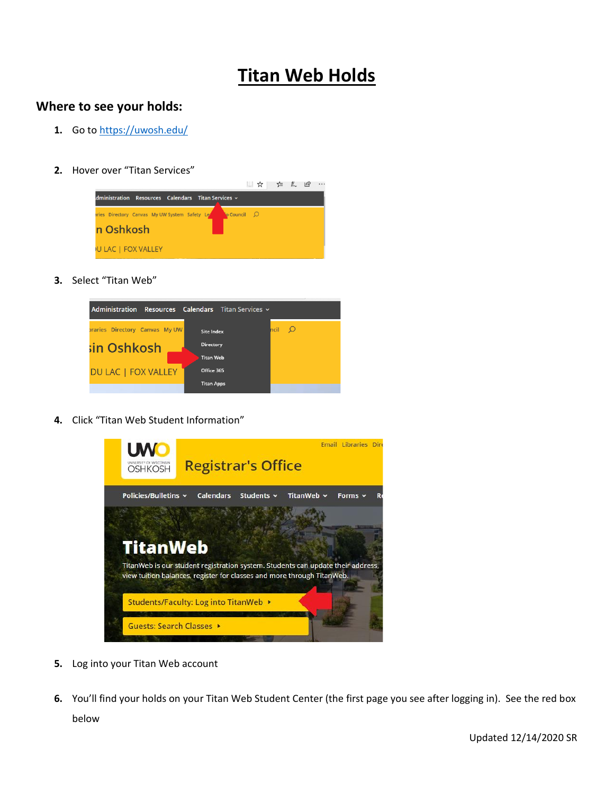## **Titan Web Holds**

## **Where to see your holds:**

- **1.** Go to<https://uwosh.edu/>
- **2.** Hover over "Titan Services"



**3.** Select "Titan Web"



**4.** Click "Titan Web Student Information"



- **5.** Log into your Titan Web account
- **6.** You'll find your holds on your Titan Web Student Center (the first page you see after logging in). See the red box below